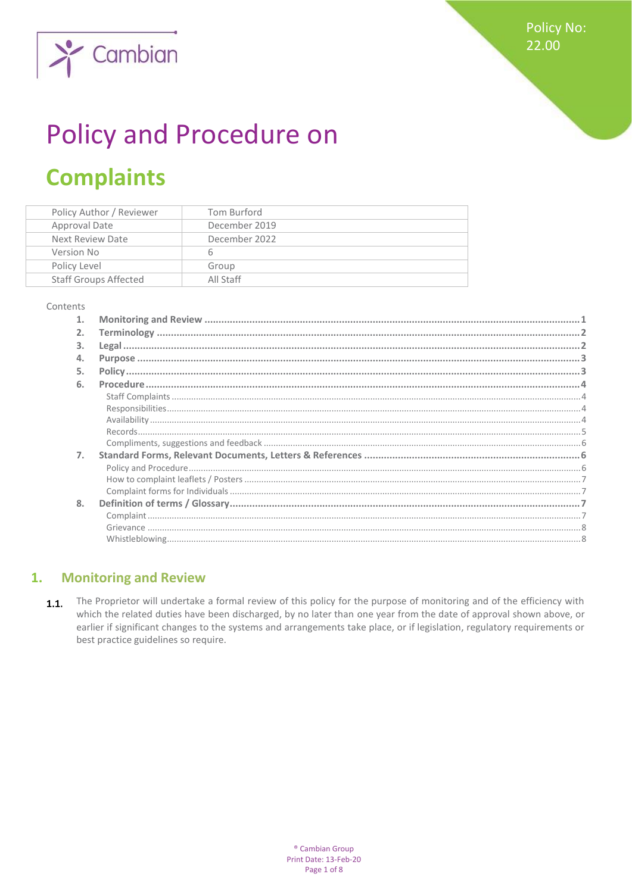



# **Policy and Procedure on**

# **Complaints**

| Policy Author / Reviewer     | Tom Burford   |
|------------------------------|---------------|
| Approval Date                | December 2019 |
| Next Review Date             | December 2022 |
| Version No                   |               |
| Policy Level                 | Group         |
| <b>Staff Groups Affected</b> | All Staff     |

#### Contents

| 1. |  |
|----|--|
| 2. |  |
| 3. |  |
| 4. |  |
| 5. |  |
| 6. |  |
|    |  |
|    |  |
|    |  |
|    |  |
|    |  |
| 7. |  |
|    |  |
|    |  |
|    |  |
| 8. |  |
|    |  |
|    |  |
|    |  |

#### <span id="page-0-0"></span>**Monitoring and Review**  $\mathbf{1}$ .

The Proprietor will undertake a formal review of this policy for the purpose of monitoring and of the efficiency with  $1.1.$ which the related duties have been discharged, by no later than one year from the date of approval shown above, or earlier if significant changes to the systems and arrangements take place, or if legislation, regulatory requirements or best practice guidelines so require.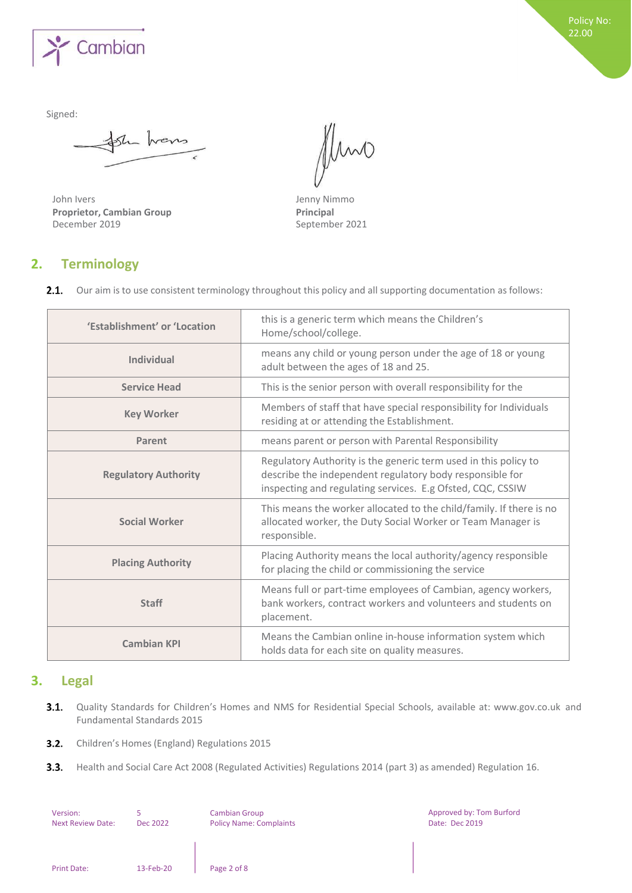

Signed:

Sh hans

John Ivers **Jenny Nimmo**<br> **Proprietor, Cambian Group**<br> **Principal Proprietor, Cambian Group**<br>December 2019

Mmo

September 2021

# <span id="page-1-0"></span>**2. Terminology**

2.1. Our aim is to use consistent terminology throughout this policy and all supporting documentation as follows:

| 'Establishment' or 'Location | this is a generic term which means the Children's<br>Home/school/college.                                                                                                                 |  |
|------------------------------|-------------------------------------------------------------------------------------------------------------------------------------------------------------------------------------------|--|
| <b>Individual</b>            | means any child or young person under the age of 18 or young<br>adult between the ages of 18 and 25.                                                                                      |  |
| <b>Service Head</b>          | This is the senior person with overall responsibility for the                                                                                                                             |  |
| <b>Key Worker</b>            | Members of staff that have special responsibility for Individuals<br>residing at or attending the Establishment.                                                                          |  |
| Parent                       | means parent or person with Parental Responsibility                                                                                                                                       |  |
| <b>Regulatory Authority</b>  | Regulatory Authority is the generic term used in this policy to<br>describe the independent regulatory body responsible for<br>inspecting and regulating services. E.g Ofsted, CQC, CSSIW |  |
| <b>Social Worker</b>         | This means the worker allocated to the child/family. If there is no<br>allocated worker, the Duty Social Worker or Team Manager is<br>responsible.                                        |  |
| <b>Placing Authority</b>     | Placing Authority means the local authority/agency responsible<br>for placing the child or commissioning the service                                                                      |  |
| <b>Staff</b>                 | Means full or part-time employees of Cambian, agency workers,<br>bank workers, contract workers and volunteers and students on<br>placement.                                              |  |
| <b>Cambian KPI</b>           | Means the Cambian online in-house information system which<br>holds data for each site on quality measures.                                                                               |  |

# <span id="page-1-1"></span>**3. Legal**

3.1. Quality Standards for Children's Homes and NMS for Residential Special Schools, available at: [www.gov.co.uk](http://www.gov.co.uk/) and Fundamental Standards 2015

Approved by: Tom Burford

Date: Dec 2019

- **3.2.** Children's Homes (England) Regulations 2015
- $3.3.$ Health and Social Care Act 2008 (Regulated Activities) Regulations 2014 (part 3) as amended) Regulation 16.

| Version:                 |           | <b>Cambian Group</b>           |
|--------------------------|-----------|--------------------------------|
| <b>Next Review Date:</b> | Dec 2022  | <b>Policy Name: Complaints</b> |
|                          |           |                                |
|                          |           |                                |
|                          |           |                                |
|                          |           |                                |
| <b>Print Date:</b>       | 13-Feb-20 | Page 2 of 8                    |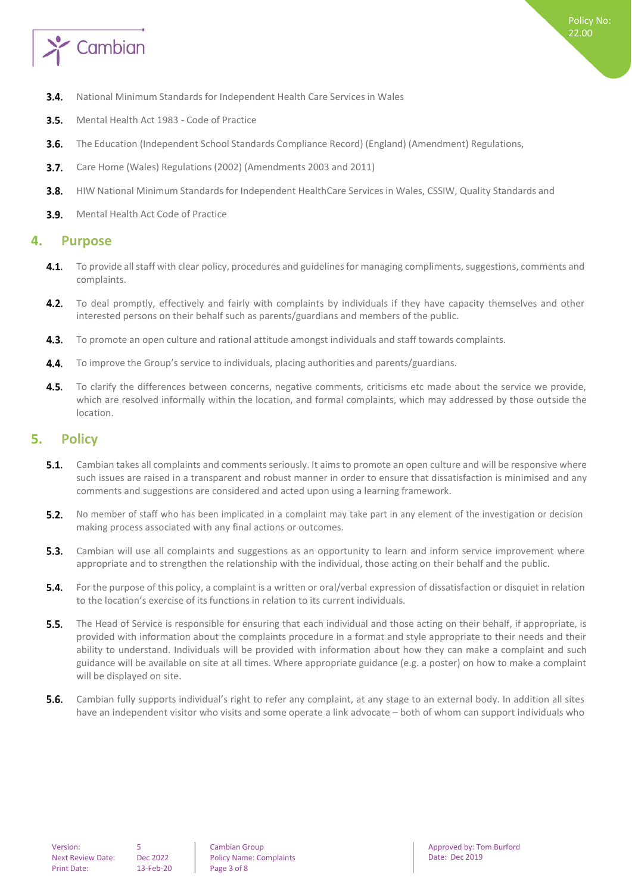

- $3.4.$ National Minimum Standards for Independent Health Care Services in Wales
- $3.5.$ Mental Health Act 1983 - Code of Practice
- $3.6.$ The Education (Independent School Standards Compliance Record) (England) (Amendment) Regulations,
- $3.7.$ Care Home (Wales) Regulations (2002) (Amendments 2003 and 2011)
- HIW National Minimum Standards for Independent HealthCare Services in Wales, CSSIW, Quality Standards and  $3.8.$
- **3.9.** Mental Health Act Code of Practice

# <span id="page-2-0"></span>**4. Purpose**

- $4.1.$ To provide all staff with clear policy, procedures and guidelines for managing compliments, suggestions, comments and complaints.
- $4.2.$ To deal promptly, effectively and fairly with complaints by individuals if they have capacity themselves and other interested persons on their behalf such as parents/guardians and members of the public.
- $4.3.$ To promote an open culture and rational attitude amongst individuals and staff towards complaints.
- To improve the Group's service to individuals, placing authorities and parents/guardians.  $4.4.$
- $4.5.$ To clarify the differences between concerns, negative comments, criticisms etc made about the service we provide, which are resolved informally within the location, and formal complaints, which may addressed by those outside the location.

# <span id="page-2-1"></span>**5. Policy**

- Cambian takes all complaints and commentsseriously. It aimsto promote an open culture and will be responsive where  $5.1.$ such issues are raised in a transparent and robust manner in order to ensure that dissatisfaction is minimised and any comments and suggestions are considered and acted upon using a learning framework.
- $5.2.$ No member of staff who has been implicated in a complaint may take part in any element of the investigation or decision making process associated with any final actions or outcomes.
- Cambian will use all complaints and suggestions as an opportunity to learn and inform service improvement where  $5.3.$ appropriate and to strengthen the relationship with the individual, those acting on their behalf and the public.
- For the purpose of this policy, a complaint is a written or oral/verbal expression of dissatisfaction or disquiet in relation  $5.4.$ to the location's exercise of its functions in relation to its current individuals.
- $5.5.$ The Head of Service is responsible for ensuring that each individual and those acting on their behalf, if appropriate, is provided with information about the complaints procedure in a format and style appropriate to their needs and their ability to understand. Individuals will be provided with information about how they can make a complaint and such guidance will be available on site at all times. Where appropriate guidance (e.g. a poster) on how to make a complaint will be displayed on site.
- $5.6.$ Cambian fully supports individual's right to refer any complaint, at any stage to an external body. In addition all sites have an independent visitor who visits and some operate a link advocate – both of whom can support individuals who

Cambian Group Policy Name: Complaints Approved by: Tom Burford Date: Dec 2019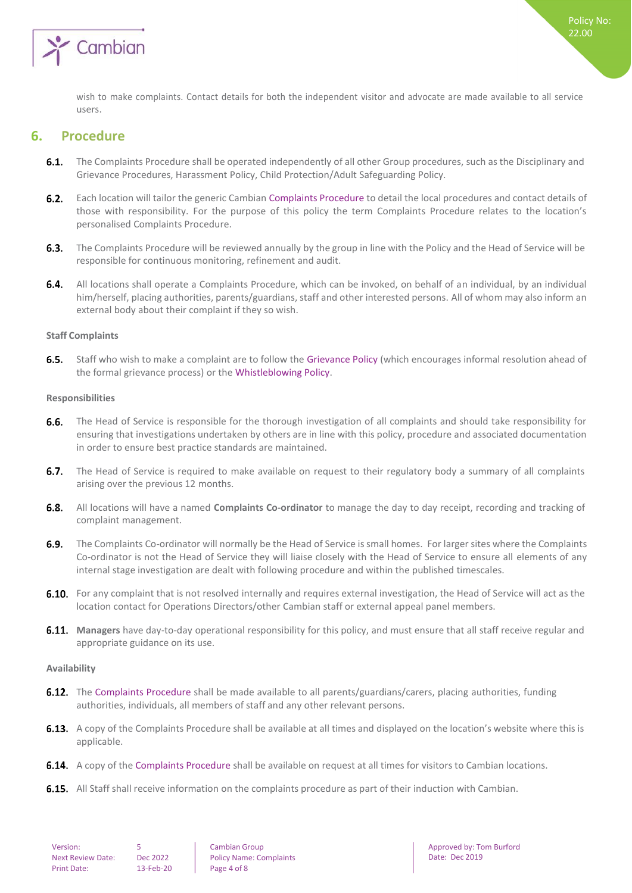

wish to make complaints. Contact details for both the independent visitor and advocate are made available to all service users.

# <span id="page-3-0"></span>**6. Procedure**

- 6.1. The Complaints Procedure shall be operated independently of all other Group procedures, such as the Disciplinary and Grievance Procedures, Harassment Policy, Child Protection/Adult Safeguarding Policy.
- $6.2.$ Each location will tailor the generic Cambian Complaints Procedure to detail the local procedures and contact details of those with responsibility. For the purpose of this policy the term Complaints Procedure relates to the location's personalised Complaints Procedure.
- $6.3.$ The Complaints Procedure will be reviewed annually by the group in line with the Policy and the Head of Service will be responsible for continuous monitoring, refinement and audit.
- $6.4.$ All locations shall operate a Complaints Procedure, which can be invoked, on behalf of an individual, by an individual him/herself, placing authorities, parents/guardians, staff and other interested persons. All of whom may also inform an external body about their complaint if they so wish.

#### <span id="page-3-1"></span>**Staff Complaints**

 $6.5.$ Staff who wish to make a complaint are to follow the Grievance Policy (which encourages informal resolution ahead of the formal grievance process) or the Whistleblowing Policy.

#### <span id="page-3-2"></span>**Responsibilities**

- $6.6.$ The Head of Service is responsible for the thorough investigation of all complaints and should take responsibility for ensuring that investigations undertaken by others are in line with this policy, procedure and associated documentation in order to ensure best practice standards are maintained.
- 6.7. The Head of Service is required to make available on request to their regulatory body a summary of all complaints arising over the previous 12 months.
- All locations will have a named **Complaints Co-ordinator** to manage the day to day receipt, recording and tracking of complaint management.
- $6.9.$ The Complaints Co-ordinator will normally be the Head of Service issmall homes. For larger sites where the Complaints Co-ordinator is not the Head of Service they will liaise closely with the Head of Service to ensure all elements of any internal stage investigation are dealt with following procedure and within the published timescales.
- 6.10. For any complaint that is not resolved internally and requires external investigation, the Head of Service will act as the location contact for Operations Directors/other Cambian staff or external appeal panel members.
- **Managers** have day-to-day operational responsibility for this policy, and must ensure that all staff receive regular and appropriate guidance on its use.

#### <span id="page-3-3"></span>**Availability**

- **6.12.** The Complaints Procedure shall be made available to all parents/guardians/carers, placing authorities, funding authorities, individuals, all members of staff and any other relevant persons.
- **6.13.** A copy of the Complaints Procedure shall be available at all times and displayed on the location's website where this is applicable.
- **6.14.** A copy of the Complaints Procedure shall be available on request at all times for visitors to Cambian locations.
- **6.15.** All Staff shall receive information on the complaints procedure as part of their induction with Cambian.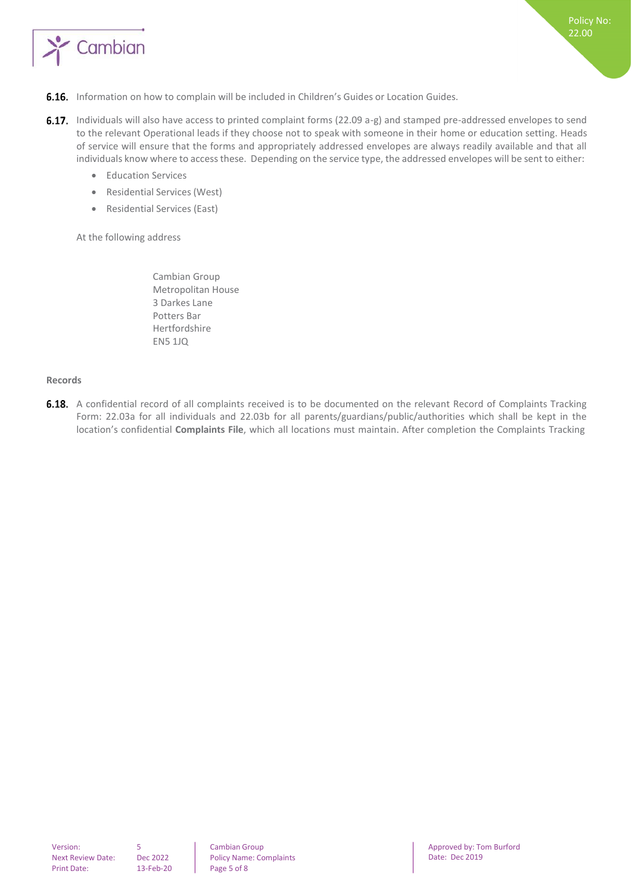

- 6.16. Information on how to complain will be included in Children's Guides or Location Guides.
- 6.17. Individuals will also have access to printed complaint forms (22.09 a-g) and stamped pre-addressed envelopes to send to the relevant Operational leads if they choose not to speak with someone in their home or education setting. Heads of service will ensure that the forms and appropriately addressed envelopes are always readily available and that all individuals know where to access these. Depending on the service type, the addressed envelopes will be sent to either:
	- **•** Education Services
	- Residential Services (West)
	- Residential Services (East)

At the following address

Cambian Group Metropolitan House 3 Darkes Lane Potters Bar Hertfordshire EN5 1JQ

#### <span id="page-4-0"></span>**Records**

6.18. A confidential record of all complaints received is to be documented on the relevant Record of Complaints Tracking Form: 22.03a for all individuals and 22.03b for all parents/guardians/public/authorities which shall be kept in the location's confidential **Complaints File**, which all locations must maintain. After completion the Complaints Tracking

Cambian Group Policy Name: Complaints Approved by: Tom Burford Date: Dec 2019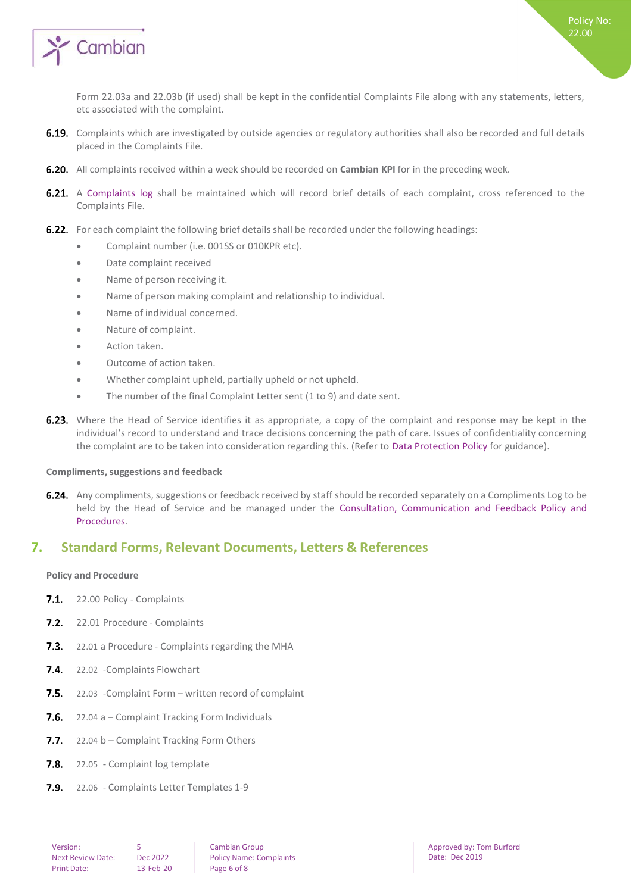

Form 22.03a and 22.03b (if used) shall be kept in the confidential Complaints File along with any statements, letters, etc associated with the complaint.

- 6.19. Complaints which are investigated by outside agencies or regulatory authorities shall also be recorded and full details placed in the Complaints File.
- **6.20.** All complaints received within a week should be recorded on **Cambian KPI** for in the preceding week.
- 6.21. A Complaints log shall be maintained which will record brief details of each complaint, cross referenced to the Complaints File.
- 6.22. For each complaint the following brief details shall be recorded under the following headings:
	- **•** Complaint number (i.e. 001SS or 010KPR etc).
	- Date complaint received
	- Name of person receiving it.
	- Name of person making complaint and relationship to individual.
	- Name of individual concerned.
	- Nature of complaint.
	- Action taken.
	- Outcome of action taken.
	- Whether complaint upheld, partially upheld or not upheld.
	- The number of the final Complaint Letter sent (1 to 9) and date sent.
- **6.23.** Where the Head of Service identifies it as appropriate, a copy of the complaint and response may be kept in the individual's record to understand and trace decisions concerning the path of care. Issues of confidentiality concerning the complaint are to be taken into consideration regarding this. (Refer to Data Protection Policy for guidance).

#### <span id="page-5-0"></span>**Compliments,suggestions and feedback**

6.24. Any compliments, suggestions or feedback received by staff should be recorded separately on a Compliments Log to be held by the Head of Service and be managed under the Consultation, Communication and Feedback Policy and Procedures.

# <span id="page-5-2"></span><span id="page-5-1"></span>**7. Standard Forms, Relevant Documents, Letters & References**

#### **Policy and Procedure**

- 7.1. 22.00 Policy Complaints
- 7.2. 22.01 Procedure Complaints
- **7.3.** 22.01 a Procedure Complaints regarding the MHA
- 7.4. 22.02 Complaints Flowchart
- $7.5.$ 22.03 -Complaint Form – written record of complaint
- $7.6.$ 22.04 a – Complaint Tracking Form Individuals
- $7.7.$ 22.04 b – Complaint Tracking Form Others
- $7.8.$ 22.05 - Complaint log template
- $7.9.$ 22.06 - Complaints Letter Templates 1-9

Cambian Group Policy Name: Complaints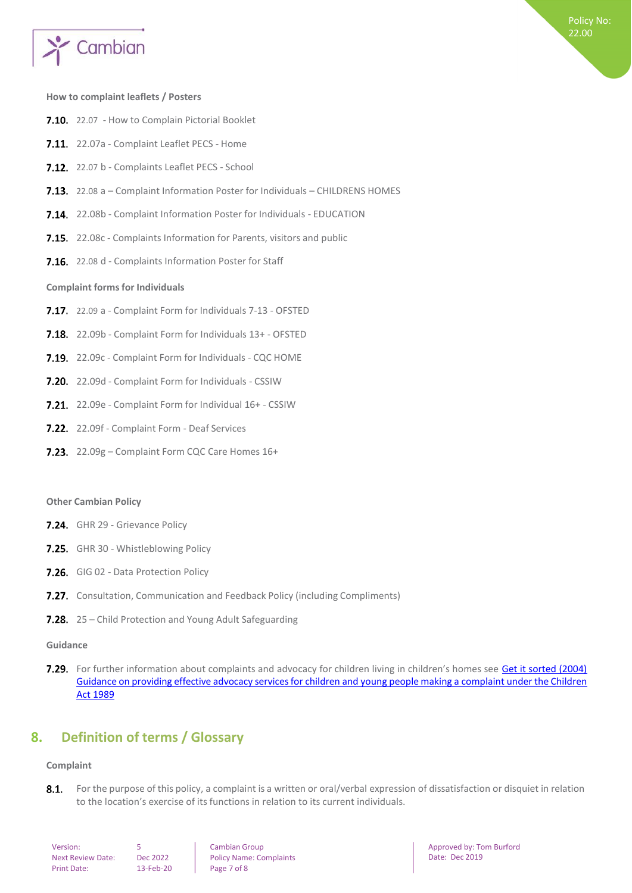

#### <span id="page-6-0"></span>**How to complaint leaflets / Posters**

- 7.10. 22.07 How to Complain Pictorial Booklet
- 7.11. 22.07a Complaint Leaflet PECS Home
- 7.12. 22.07 b Complaints Leaflet PECS School
- 7.13. 22.08 a Complaint Information Poster for Individuals CHILDRENS HOMES
- 7.14. 22.08b Complaint Information Poster for Individuals EDUCATION
- 7.15. 22.08c Complaints Information for Parents, visitors and public
- <span id="page-6-1"></span>7.16. 22.08 d - Complaints Information Poster for Staff

#### **Complaint formsfor Individuals**

- 7.17. 22.09 a Complaint Form for Individuals 7-13 OFSTED
- 7.18. 22.09b Complaint Form for Individuals 13+ OFSTED
- 7.19. 22.09c Complaint Form for Individuals CQC HOME
- 7.20. 22.09d Complaint Form for Individuals CSSIW
- 7.21. 22.09e Complaint Form for Individual 16+ CSSIW
- 7.22. 22.09f Complaint Form Deaf Services
- 7.23. 22.09g Complaint Form CQC Care Homes 16+

#### **Other Cambian Policy**

- 7.24. GHR 29 Grievance Policy
- 7.25. GHR 30 Whistleblowing Policy
- 7.26. GIG 02 Data Protection Policy
- **7.27.** Consultation, Communication and Feedback Policy (including Compliments)
- 7.28. 25 Child Protection and Young Adult Safeguarding

#### **Guidance**

7.29. For further information about complaints and advocacy for children living in children's homes see [Get it sorted \(2004\)](https://www.gov.uk/government/publications/advocacy-services-for-children-and-young-people) Guidance on providing effective advocacy services for children and young people making a complaint under the Children Act [1989](https://www.gov.uk/government/publications/advocacy-services-for-children-and-young-people)

# <span id="page-6-3"></span><span id="page-6-2"></span>**8. Definition of terms / Glossary**

#### **Complaint**

 $8.1.$ For the purpose of this policy, a complaint is a written or oral/verbal expression of dissatisfaction or disquiet in relation to the location's exercise of its functions in relation to its current individuals.

| Version:           |   |
|--------------------|---|
| Next Review Date:  | D |
| <b>Print Date:</b> |   |

13-Feb-20 Page 7 of 8 Dec 2022

Cambian Group Policy Name: Complaints Approved by: Tom Burford Date: Dec 2019